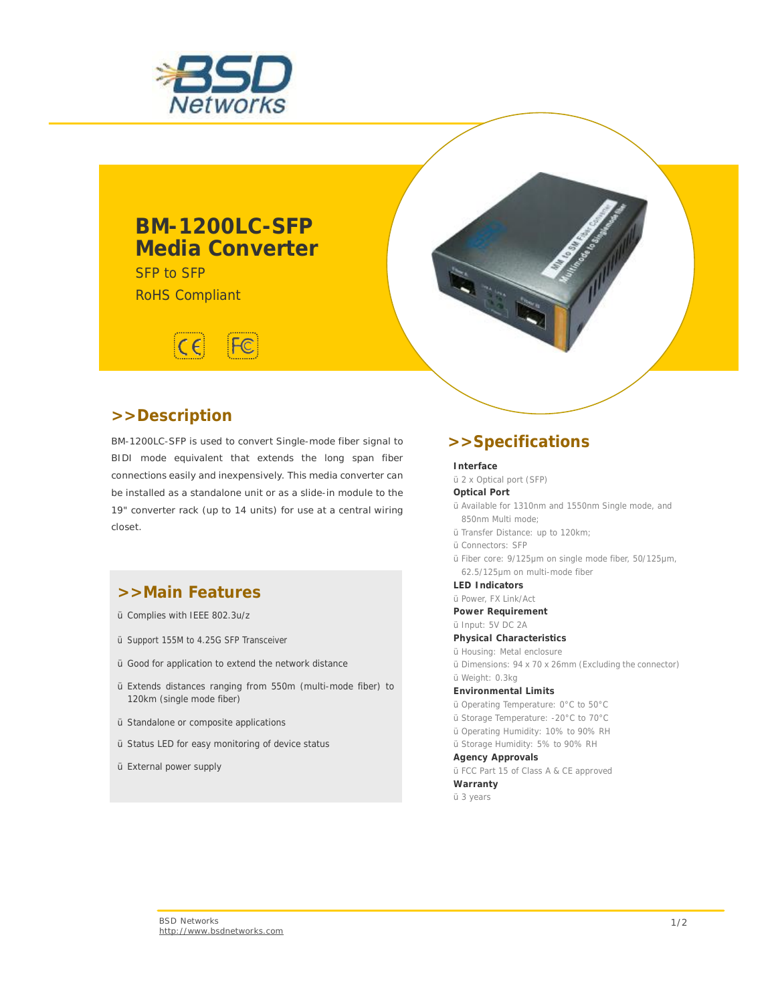

## **BM-1200LC-SFP Media Converter**

SFP to SFP RoHS Compliant



### **>>Description**

BM-1200LC-SFP is used to convert Single-mode fiber signal to BIDI mode equivalent that extends the long span fiber connections easily and inexpensively. This media converter can be installed as a standalone unit or as a slide-in module to the 19" converter rack (up to 14 units) for use at a central wiring closet.

### **>>Main Features**

- Ÿ Complies with IEEE 802.3u/z
- Ÿ Support 155M to 4.25G SFP Transceiver
- Ÿ Good for application to extend the network distance
- Ÿ Extends distances ranging from 550m (multi-mode fiber) to 120km (single mode fiber)
- Ÿ Standalone or composite applications
- Ÿ Status LED for easy monitoring of device status
- Ÿ External power supply

### **>>Specifications**

#### **Interface**

Ÿ 2 x Optical port (SFP)

- **Optical Port**
- Ÿ Available for 1310nm and 1550nm Single mode, and 850nm Multi mode;
- Ÿ Transfer Distance: up to 120km;
- Ÿ Connectors: SFP
- Ÿ Fiber core: 9/125μm on single mode fiber, 50/125μm, 62.5/125μm on multi-mode fiber

**LED Indicators**

- Ÿ Power, FX Link/Act
- **Power Requirement**

Ÿ Input: 5V DC 2A

- **Physical Characteristics**
- Ÿ Housing: Metal enclosure
- Ÿ Dimensions: 94 x 70 x 26mm (Excluding the connector) Ÿ Weight: 0.3kg

**Environmental Limits** 

- Ÿ Operating Temperature: 0°C to 50°C
- Ÿ Storage Temperature: -20°C to 70°C
- Ÿ Operating Humidity: 10% to 90% RH
- Ÿ Storage Humidity: 5% to 90% RH

**Agency Approvals** 

Ÿ FCC Part 15 of Class A & CE approved

**Warranty** Ÿ 3 years